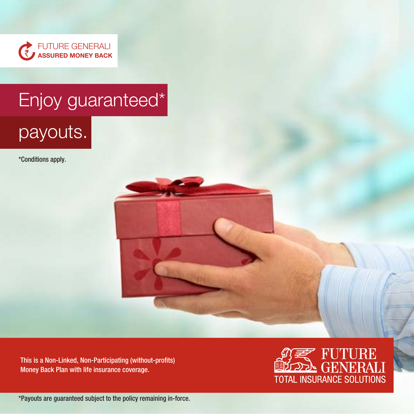

# Enjoy guaranteed\*

# payouts.

\*Conditions apply.

This is a Non-Linked, Non-Participating (without-profits) Money Back Plan with life insurance coverage.



\*Payouts are guaranteed subject to the policy remaining in-force.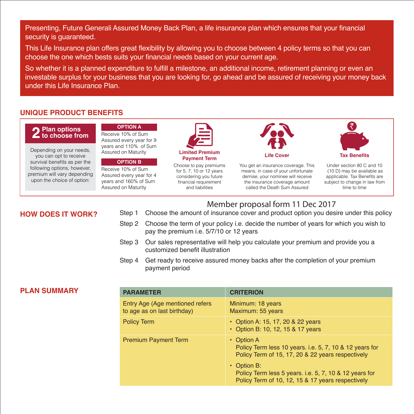Presenting, Future Generali Assured Money Back Plan, a life insurance plan which ensures that your financial security is guaranteed.

This Life Insurance plan offers great flexibility by allowing you to choose between 4 policy terms so that you can choose the one which bests suits your financial needs based on your current age.

So whether it is a planned expenditure to fulfill a milestone, an additional income, retirement planning or even an investable surplus for your business that you are looking for, go ahead and be assured of receiving your money back under this Life Insurance Plan.

## **UNIQUE PRODUCT BENEFITS**

#### **Plan options** *<u>L*</u> to choose from

Depending on your needs, you can opt to receive survival benefits as per the following options, however, premium will vary depending upon the choice of option:

**OPTION A** Receive 10% of Sum Assured every year for 9 years and 110% of Sum

Assured on Maturity

#### **OPTION B**

Receive 10% of Sum Assured every year for 4 years and 160% of Sum Assured on Maturity



**Payment Term Payment Term Life Cover COVE Tax Benefits** Choose to pay premiums for 5, 7, 10 or 12 years

considering you future financial requirement and liabilities



You get an insurance coverage. This means, in case of your unfortunate demise, your nominee will receive the insurance coverage amount called the Death Sum Assured



Under section 80 C and 10 (10 D) may be available as applicable. Tax Benefits are subject to change in law from time to time

# Member proposal form 11 Dec 2017

- **HOW DOES IT WORK?** Step 1 Choose the amount of insurance cover and product option you desire under this policy
	- Step 2 Choose the term of your policy i.e. decide the number of years for which you wish to pay the premium i.e. 5/7/10 or 12 years
	- Step 3 Our sales representative will help you calculate your premium and provide you a customized benefit illustration
	- Step 4 Get ready to receive assured money backs after the completion of your premium payment period

# **PLAN SUMMARY**

| <b>PARAMETER</b>                                                | <b>CRITERION</b>                                                                                                                 |
|-----------------------------------------------------------------|----------------------------------------------------------------------------------------------------------------------------------|
| Entry Age (Age mentioned refers)<br>to age as on last birthday) | Minimum: 18 years<br>Maximum: 55 years                                                                                           |
| <b>Policy Term</b>                                              | • Option A: 15, 17, 20 & 22 years<br>• Option B: 10, 12, 15 & 17 years                                                           |
| <b>Premium Payment Term</b>                                     | $\cdot$ Option A<br>Policy Term less 10 years. i.e. 5, 7, 10 & 12 years for<br>Policy Term of 15, 17, 20 & 22 years respectively |
|                                                                 | $\cdot$ Option B:<br>Policy Term less 5 years. i.e. 5, 7, 10 & 12 years for<br>Policy Term of 10, 12, 15 & 17 years respectively |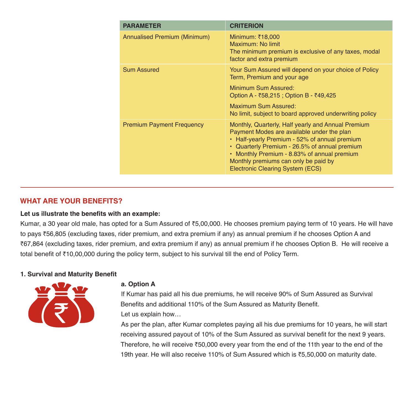| <b>PARAMETER</b>                 | <b>CRITERION</b>                                                                                                                                                                                                                                                                                                              |
|----------------------------------|-------------------------------------------------------------------------------------------------------------------------------------------------------------------------------------------------------------------------------------------------------------------------------------------------------------------------------|
| Annualised Premium (Minimum)     | Minimum: ₹18,000<br>Maximum: No limit<br>The minimum premium is exclusive of any taxes, modal<br>factor and extra premium                                                                                                                                                                                                     |
| <b>Sum Assured</b>               | Your Sum Assured will depend on your choice of Policy<br>Term, Premium and your age                                                                                                                                                                                                                                           |
|                                  | Minimum Sum Assured:<br>Option A - ₹58,215 ; Option B - ₹49,425                                                                                                                                                                                                                                                               |
|                                  | Maximum Sum Assured:<br>No limit, subject to board approved underwriting policy                                                                                                                                                                                                                                               |
| <b>Premium Payment Frequency</b> | Monthly, Quarterly, Half yearly and Annual Premium<br>Payment Modes are available under the plan<br>• Half-yearly Premium - 52% of annual premium<br>• Quarterly Premium - 26.5% of annual premium<br>• Monthly Premium - 8.83% of annual premium<br>Monthly premiums can only be paid by<br>Electronic Clearing System (ECS) |

# **WHAT ARE YOUR BENEFITS?**

#### **Let us illustrate the benefits with an example:**

Kumar, a 30 year old male, has opted for a Sum Assured of ₹5,00,000. He chooses premium paying term of 10 years. He will have to pays `56,805 (excluding taxes, rider premium, and extra premium if any) as annual premium if he chooses Option A and `67,864 (excluding taxes, rider premium, and extra premium if any) as annual premium if he chooses Option B. He will receive a total benefit of ₹10,00,000 during the policy term, subject to his survival till the end of Policy Term.

# **1. Survival and Maturity Benefit**



#### **a. Option A**

 If Kumar has paid all his due premiums, he will receive 90% of Sum Assured as Survival Benefits and additional 110% of the Sum Assured as Maturity Benefit. Let us explain how…

 As per the plan, after Kumar completes paying all his due premiums for 10 years, he will start receiving assured payout of 10% of the Sum Assured as survival benefit for the next 9 years. Therefore, he will receive  $\overline{50,000}$  every year from the end of the 11th year to the end of the 19th year. He will also receive 110% of Sum Assured which is `5,50,000 on maturity date.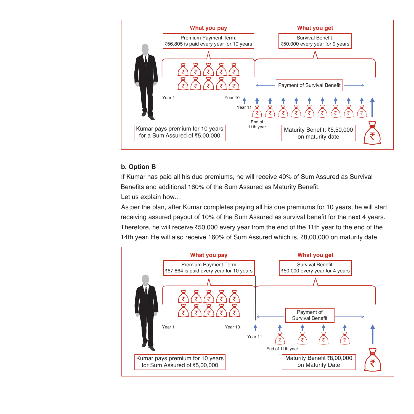

# **b. Option B**

 If Kumar has paid all his due premiums, he will receive 40% of Sum Assured as Survival Benefits and additional 160% of the Sum Assured as Maturity Benefit. Let us explain how…

 As per the plan, after Kumar completes paying all his due premiums for 10 years, he will start receiving assured payout of 10% of the Sum Assured as survival benefit for the next 4 years. Therefore, he will receive  $\text{\textdegree}50,000$  every year from the end of the 11th year to the end of the 14th year. He will also receive 160% of Sum Assured which is, ₹8,00,000 on maturity date

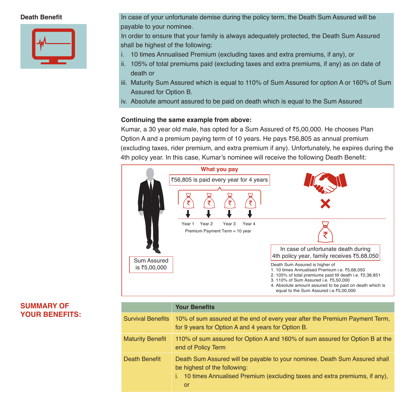

**Death Benefit** In case of your unfortunate demise during the policy term, the Death Sum Assured will be payable to your nominee.

> In order to ensure that your family is always adequately protected, the Death Sum Assured shall be highest of the following:

- i. 10 times Annualised Premium (excluding taxes and extra premiums, if any), or
- ii. 105% of total premiums paid (excluding taxes and extra premiums, if any) as on date of death or
- iii. Maturity Sum Assured which is equal to 110% of Sum Assured for option A or 160% of Sum Assured for Option B.
- iv. Absolute amount assured to be paid on death which is equal to the Sum Assured

# **Continuing the same example from above:**

Kumar, a 30 year old male, has opted for a Sum Assured of  $\bar{z}5,00,000$ . He chooses Plan Option A and a premium paying term of 10 years. He pays  $\overline{56,805}$  as annual premium (excluding taxes, rider premium, and extra premium if any). Unfortunately, he expires during the 4th policy year. In this case, Kumar's nominee will receive the following Death Benefit:



| <b>SUMMARY OF</b>     |  |
|-----------------------|--|
| <b>YOUR BENEFITS:</b> |  |

|                          | <b>Your Benefits</b>                                                                                                                                                                                    |
|--------------------------|---------------------------------------------------------------------------------------------------------------------------------------------------------------------------------------------------------|
| <b>Survival Benefits</b> | 10% of sum assured at the end of every year after the Premium Payment Term,<br>for 9 years for Option A and 4 years for Option B.                                                                       |
| <b>Maturity Benefit</b>  | 110% of sum assured for Option A and 160% of sum assured for Option B at the<br>end of Policy Term                                                                                                      |
| Death Benefit            | Death Sum Assured will be payable to your nominee. Death Sum Assured shall<br>be highest of the following:<br>i. 10 times Annualised Premium (excluding taxes and extra premiums, if any),<br><b>or</b> |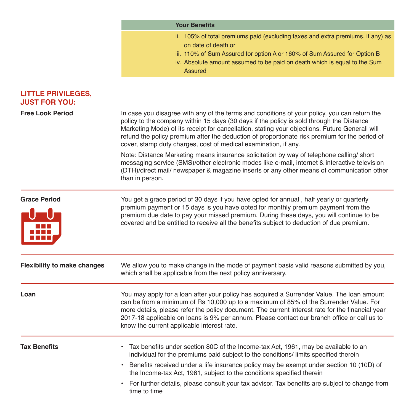|                                                   | <b>Your Benefits</b>                                                                                                                                                                                                                                                                                                                                                                                                                                           |  |  |  |
|---------------------------------------------------|----------------------------------------------------------------------------------------------------------------------------------------------------------------------------------------------------------------------------------------------------------------------------------------------------------------------------------------------------------------------------------------------------------------------------------------------------------------|--|--|--|
|                                                   | ii. 105% of total premiums paid (excluding taxes and extra premiums, if any) as<br>on date of death or<br>iii. 110% of Sum Assured for option A or 160% of Sum Assured for Option B<br>iv. Absolute amount assumed to be paid on death which is equal to the Sum<br><b>Assured</b>                                                                                                                                                                             |  |  |  |
| <b>LITTLE PRIVILEGES,</b><br><b>JUST FOR YOU:</b> |                                                                                                                                                                                                                                                                                                                                                                                                                                                                |  |  |  |
| <b>Free Look Period</b>                           | In case you disagree with any of the terms and conditions of your policy, you can return the<br>policy to the company within 15 days (30 days if the policy is sold through the Distance<br>Marketing Mode) of its receipt for cancellation, stating your objections. Future Generali will<br>refund the policy premium after the deduction of proportionate risk premium for the period of<br>cover, stamp duty charges, cost of medical examination, if any. |  |  |  |
|                                                   | Note: Distance Marketing means insurance solicitation by way of telephone calling/ short<br>messaging service (SMS)/other electronic modes like e-mail, internet & interactive television<br>(DTH)/direct mail/ newspaper & magazine inserts or any other means of communication other<br>than in person.                                                                                                                                                      |  |  |  |
| <b>Grace Period</b>                               | You get a grace period of 30 days if you have opted for annual, half yearly or quarterly<br>premium payment or 15 days is you have opted for monthly premium payment from the<br>premium due date to pay your missed premium. During these days, you will continue to be<br>covered and be entitled to receive all the benefits subject to deduction of due premium.                                                                                           |  |  |  |
| <b>Flexibility to make changes</b>                | We allow you to make change in the mode of payment basis valid reasons submitted by you,<br>which shall be applicable from the next policy anniversary.                                                                                                                                                                                                                                                                                                        |  |  |  |
| Loan                                              | You may apply for a loan after your policy has acquired a Surrender Value. The loan amount<br>can be from a minimum of Rs 10,000 up to a maximum of 85% of the Surrender Value. For<br>more details, please refer the policy document. The current interest rate for the financial year<br>2017-18 applicable on loans is 9% per annum. Please contact our branch office or call us to<br>know the current applicable interest rate.                           |  |  |  |
| <b>Tax Benefits</b>                               | • Tax benefits under section 80C of the Income-tax Act, 1961, may be available to an<br>individual for the premiums paid subject to the conditions/ limits specified therein                                                                                                                                                                                                                                                                                   |  |  |  |
|                                                   | • Benefits received under a life insurance policy may be exempt under section 10 (10D) of<br>the Income-tax Act, 1961, subject to the conditions specified therein                                                                                                                                                                                                                                                                                             |  |  |  |
|                                                   | • For further details, please consult your tax advisor. Tax benefits are subject to change from                                                                                                                                                                                                                                                                                                                                                                |  |  |  |

time to time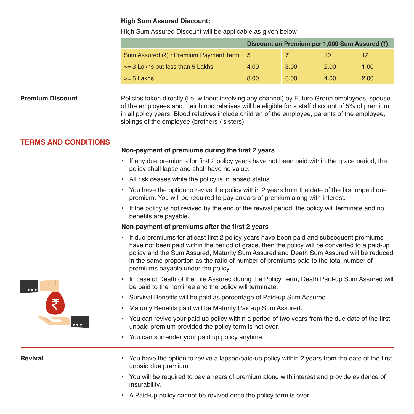#### **High Sum Assured Discount:**

High Sum Assured Discount will be applicable as given below:

| Discount on Premium per 1,000 Sum Assured $(3)$ |      |      |      |                 |  |
|-------------------------------------------------|------|------|------|-----------------|--|
| Sum Assured (₹) / Premium Payment Term          | l 5  |      | 10   | 12 <sup>°</sup> |  |
| $\geq$ 3 Lakhs but less than 5 Lakhs            | 4.00 | 3.00 | 2.00 | 1.00            |  |
| $>= 5$ Lakhs                                    | 8.00 | 6.00 | 4.00 | 2.00            |  |

**Premium Discount** Policies taken directly (i.e. without involving any channel) by Future Group employees, spouse of the employees and their blood relatives will be eligible for a staff discount of 5% of premium in all policy years. Blood relatives include children of the employee, parents of the employee, siblings of the employee (brothers / sisters)

# **TERMS AND CONDITIONS**

#### **Non-payment of premiums during the first 2 years**

- If any due premiums for first 2 policy years have not been paid within the grace period, the policy shall lapse and shall have no value.
- All risk ceases while the policy is in lapsed status.
- You have the option to revive the policy within 2 years from the date of the first unpaid due premium. You will be required to pay arrears of premium along with interest.
- If the policy is not revived by the end of the revival period, the policy will terminate and no benefits are payable.

#### **Non-payment of premiums after the first 2 years**

- If due premiums for atleast first 2 policy years have been paid and subsequent premiums have not been paid within the period of grace, then the policy will be converted to a paid-up policy and the Sum Assured, Maturity Sum Assured and Death Sum Assured will be reduced in the same proportion as the ratio of number of premiums paid to the total number of premiums payable under the policy.
- In case of Death of the Life Assured during the Policy Term, Death Paid-up Sum Assured will be paid to the nominee and the policy will terminate.
- Survival Benefits will be paid as percentage of Paid-up Sum Assured.
- Maturity Benefits paid will be Maturity Paid-up Sum Assured.
- You can revive your paid up policy within a period of two years from the due date of the first unpaid premium provided the policy term is not over.
- You can surrender your paid up policy anytime

- **Revival •** You have the option to revive a lapsed/paid-up policy within 2 years from the date of the first unpaid due premium.
	- You will be required to pay arrears of premium along with interest and provide evidence of insurability.
	- A Paid-up policy cannot be revived once the policy term is over.

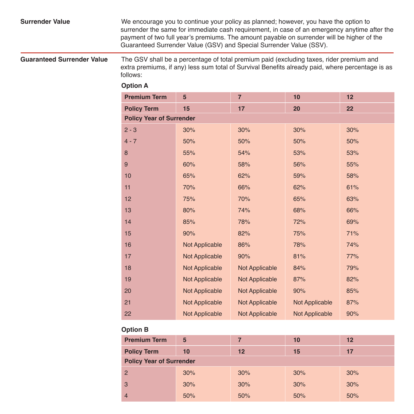## **Surrender Value** We encourage you to continue your policy as planned; however, you have the option to surrender the same for immediate cash requirement, in case of an emergency anytime after the payment of two full year's premiums. The amount payable on surrender will be higher of the Guaranteed Surrender Value (GSV) and Special Surrender Value (SSV).

**Guaranteed Surrender Value** The GSV shall be a percentage of total premium paid (excluding taxes, rider premium and extra premiums, if any) less sum total of Survival Benefits already paid, where percentage is as follows:

## **Option A**

| <b>Premium Term</b>             | 5              | $\overline{7}$        | 10             | 12  |  |  |
|---------------------------------|----------------|-----------------------|----------------|-----|--|--|
| <b>Policy Term</b>              | 15             | 17                    | 20             | 22  |  |  |
| <b>Policy Year of Surrender</b> |                |                       |                |     |  |  |
| $2 - 3$                         | 30%            | 30%                   | 30%            | 30% |  |  |
| $4 - 7$                         | 50%            | 50%                   | 50%            | 50% |  |  |
| 8                               | 55%            | 54%                   | 53%            | 53% |  |  |
| 9                               | 60%            | 58%                   | 56%            | 55% |  |  |
| 10                              | 65%            | 62%                   | 59%            | 58% |  |  |
| 11                              | 70%            | 66%                   | 62%            | 61% |  |  |
| 12                              | 75%            | 70%                   | 65%            | 63% |  |  |
| 13                              | 80%            | 74%                   | 68%            | 66% |  |  |
| 14                              | 85%            | 78%                   | 72%            | 69% |  |  |
| 15                              | 90%            | 82%                   | 75%            | 71% |  |  |
| 16                              | Not Applicable | 86%                   | 78%            | 74% |  |  |
| 17                              | Not Applicable | 90%                   | 81%            | 77% |  |  |
| 18                              | Not Applicable | <b>Not Applicable</b> | 84%            | 79% |  |  |
| 19                              | Not Applicable | Not Applicable        | 87%            | 82% |  |  |
| 20                              | Not Applicable | Not Applicable        | 90%            | 85% |  |  |
| 21                              | Not Applicable | Not Applicable        | Not Applicable | 87% |  |  |
| 22                              | Not Applicable | Not Applicable        | Not Applicable | 90% |  |  |

# **Option B**

| <b>Premium Term</b>             | 5   | 7   | 10  | 12  |  |  |
|---------------------------------|-----|-----|-----|-----|--|--|
| <b>Policy Term</b>              | 10  | 12  | 15  | 17  |  |  |
| <b>Policy Year of Surrender</b> |     |     |     |     |  |  |
| $\overline{2}$                  | 30% | 30% | 30% | 30% |  |  |
| 3                               | 30% | 30% | 30% | 30% |  |  |
| 4                               | 50% | 50% | 50% | 50% |  |  |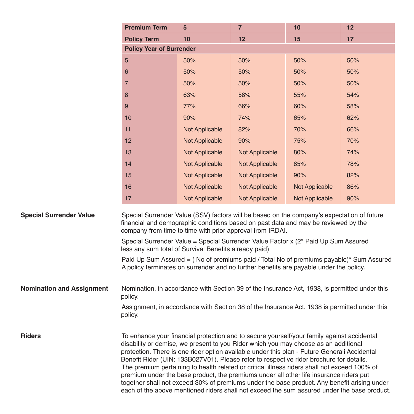|                                  | <b>Premium Term</b>                                                                                                                                                                                                                                                                                                                                                                                                                                                                                                                                                                                                                                                                                                                                                  | $5\phantom{.0}$       | $\overline{7}$        | 10             | 12  |  |
|----------------------------------|----------------------------------------------------------------------------------------------------------------------------------------------------------------------------------------------------------------------------------------------------------------------------------------------------------------------------------------------------------------------------------------------------------------------------------------------------------------------------------------------------------------------------------------------------------------------------------------------------------------------------------------------------------------------------------------------------------------------------------------------------------------------|-----------------------|-----------------------|----------------|-----|--|
|                                  | <b>Policy Term</b>                                                                                                                                                                                                                                                                                                                                                                                                                                                                                                                                                                                                                                                                                                                                                   | 10                    | 12                    | 15             | 17  |  |
|                                  | <b>Policy Year of Surrender</b>                                                                                                                                                                                                                                                                                                                                                                                                                                                                                                                                                                                                                                                                                                                                      |                       |                       |                |     |  |
|                                  | 5                                                                                                                                                                                                                                                                                                                                                                                                                                                                                                                                                                                                                                                                                                                                                                    | 50%                   | 50%                   | 50%            | 50% |  |
|                                  | 6                                                                                                                                                                                                                                                                                                                                                                                                                                                                                                                                                                                                                                                                                                                                                                    | 50%                   | 50%                   | 50%            | 50% |  |
|                                  | $\overline{7}$                                                                                                                                                                                                                                                                                                                                                                                                                                                                                                                                                                                                                                                                                                                                                       | 50%                   | 50%                   | 50%            | 50% |  |
|                                  | 8                                                                                                                                                                                                                                                                                                                                                                                                                                                                                                                                                                                                                                                                                                                                                                    | 63%                   | 58%                   | 55%            | 54% |  |
|                                  | 9                                                                                                                                                                                                                                                                                                                                                                                                                                                                                                                                                                                                                                                                                                                                                                    | 77%                   | 66%                   | 60%            | 58% |  |
|                                  | 10                                                                                                                                                                                                                                                                                                                                                                                                                                                                                                                                                                                                                                                                                                                                                                   | 90%                   | 74%                   | 65%            | 62% |  |
|                                  | 11                                                                                                                                                                                                                                                                                                                                                                                                                                                                                                                                                                                                                                                                                                                                                                   | <b>Not Applicable</b> | 82%                   | 70%            | 66% |  |
|                                  | 12                                                                                                                                                                                                                                                                                                                                                                                                                                                                                                                                                                                                                                                                                                                                                                   | Not Applicable        | 90%                   | 75%            | 70% |  |
|                                  | 13                                                                                                                                                                                                                                                                                                                                                                                                                                                                                                                                                                                                                                                                                                                                                                   | Not Applicable        | <b>Not Applicable</b> | 80%            | 74% |  |
|                                  | 14                                                                                                                                                                                                                                                                                                                                                                                                                                                                                                                                                                                                                                                                                                                                                                   | Not Applicable        | Not Applicable        | 85%            | 78% |  |
|                                  | 15                                                                                                                                                                                                                                                                                                                                                                                                                                                                                                                                                                                                                                                                                                                                                                   | <b>Not Applicable</b> | Not Applicable        | 90%            | 82% |  |
|                                  | 16                                                                                                                                                                                                                                                                                                                                                                                                                                                                                                                                                                                                                                                                                                                                                                   | <b>Not Applicable</b> | <b>Not Applicable</b> | Not Applicable | 86% |  |
|                                  | 17                                                                                                                                                                                                                                                                                                                                                                                                                                                                                                                                                                                                                                                                                                                                                                   | Not Applicable        | Not Applicable        | Not Applicable | 90% |  |
| <b>Special Surrender Value</b>   | Special Surrender Value (SSV) factors will be based on the company's expectation of future<br>financial and demographic conditions based on past data and may be reviewed by the<br>company from time to time with prior approval from IRDAI.                                                                                                                                                                                                                                                                                                                                                                                                                                                                                                                        |                       |                       |                |     |  |
|                                  | Special Surrender Value = Special Surrender Value Factor x (2* Paid Up Sum Assured<br>less any sum total of Survival Benefits already paid)                                                                                                                                                                                                                                                                                                                                                                                                                                                                                                                                                                                                                          |                       |                       |                |     |  |
|                                  | Paid Up Sum Assured = (No of premiums paid / Total No of premiums payable)* Sum Assured<br>A policy terminates on surrender and no further benefits are payable under the policy.                                                                                                                                                                                                                                                                                                                                                                                                                                                                                                                                                                                    |                       |                       |                |     |  |
| <b>Nomination and Assignment</b> | Nomination, in accordance with Section 39 of the Insurance Act, 1938, is permitted under this<br>policy.                                                                                                                                                                                                                                                                                                                                                                                                                                                                                                                                                                                                                                                             |                       |                       |                |     |  |
|                                  | Assignment, in accordance with Section 38 of the Insurance Act, 1938 is permitted under this<br>policy.                                                                                                                                                                                                                                                                                                                                                                                                                                                                                                                                                                                                                                                              |                       |                       |                |     |  |
| <b>Riders</b>                    | To enhance your financial protection and to secure yourself/your family against accidental<br>disability or demise, we present to you Rider which you may choose as an additional<br>protection. There is one rider option available under this plan - Future Generali Accidental<br>Benefit Rider (UIN: 133B027V01). Please refer to respective rider brochure for details.<br>The premium pertaining to health related or critical illness riders shall not exceed 100% of<br>premium under the base product, the premiums under all other life insurance riders put<br>together shall not exceed 30% of premiums under the base product. Any benefit arising under<br>each of the above mentioned riders shall not exceed the sum assured under the base product. |                       |                       |                |     |  |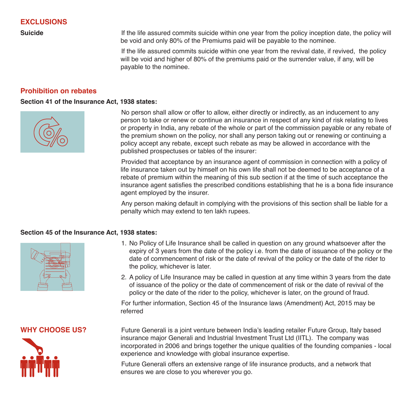**EXCLUSIONS**

**Suicide If the life assured commits suicide within one year from the policy inception date, the policy will** be void and only 80% of the Premiums paid will be payable to the nominee.

> If the life assured commits suicide within one year from the revival date, if revived, the policy will be void and higher of 80% of the premiums paid or the surrender value, if any, will be payable to the nominee.

## **Prohibition on rebates**

#### **Section 41 of the Insurance Act, 1938 states:**



 No person shall allow or offer to allow, either directly or indirectly, as an inducement to any person to take or renew or continue an insurance in respect of any kind of risk relating to lives or property in India, any rebate of the whole or part of the commission payable or any rebate of the premium shown on the policy, nor shall any person taking out or renewing or continuing a policy accept any rebate, except such rebate as may be allowed in accordance with the published prospectuses or tables of the insurer:

 Provided that acceptance by an insurance agent of commission in connection with a policy of life insurance taken out by himself on his own life shall not be deemed to be acceptance of a rebate of premium within the meaning of this sub section if at the time of such acceptance the insurance agent satisfies the prescribed conditions establishing that he is a bona fide insurance agent employed by the insurer.

 Any person making default in complying with the provisions of this section shall be liable for a penalty which may extend to ten lakh rupees.

#### **Section 45 of the Insurance Act, 1938 states:**



- 1. No Policy of Life Insurance shall be called in question on any ground whatsoever after the expiry of 3 years from the date of the policy i.e. from the date of issuance of the policy or the date of commencement of risk or the date of revival of the policy or the date of the rider to the policy, whichever is later.
- 2. A policy of Life Insurance may be called in question at any time within 3 years from the date of issuance of the policy or the date of commencement of risk or the date of revival of the policy or the date of the rider to the policy, whichever is later, on the ground of fraud.

 For further information, Section 45 of the Insurance laws (Amendment) Act, 2015 may be referred



**WHY CHOOSE US?** Future Generali is a joint venture between India's leading retailer Future Group, Italy based insurance major Generali and Industrial Investment Trust Ltd (IITL). The company was incorporated in 2006 and brings together the unique qualities of the founding companies - local experience and knowledge with global insurance expertise.

> Future Generali offers an extensive range of life insurance products, and a network that ensures we are close to you wherever you go.